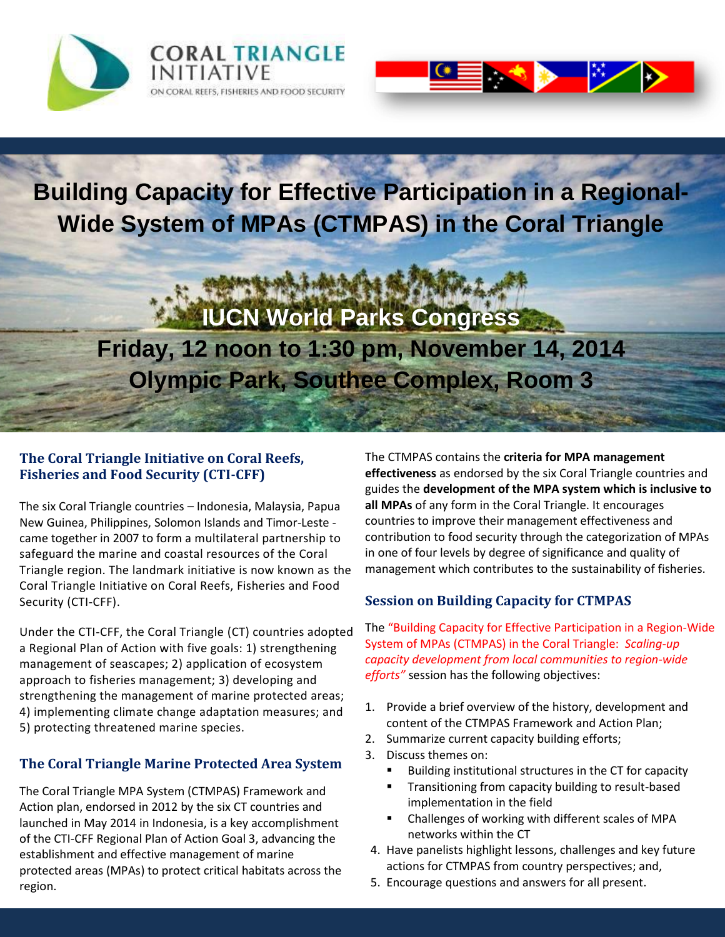



## **Building Capacity for Effective Participation in a Regional-Wide System of MPAs (CTMPAS) in the Coral Triangle**

# **IUCN World Parks Congress Friday, 12 noon to 1:30 pm, November 14, 2014 Olympic Park, Southee Complex, Room 3**

#### **The Coral Triangle Initiative on Coral Reefs, Fisheries and Food Security (CTI-CFF)**

The six Coral Triangle countries – Indonesia, Malaysia, Papua New Guinea, Philippines, Solomon Islands and Timor-Leste came together in 2007 to form a multilateral partnership to safeguard the marine and coastal resources of the Coral Triangle region. The landmark initiative is now known as the Coral Triangle Initiative on Coral Reefs, Fisheries and Food Security (CTI-CFF).

Under the CTI-CFF, the Coral Triangle (CT) countries adopted a Regional Plan of Action with five goals: 1) strengthening management of seascapes; 2) application of ecosystem approach to fisheries management; 3) developing and strengthening the management of marine protected areas; 4) implementing climate change adaptation measures; and 5) protecting threatened marine species.

#### **The Coral Triangle Marine Protected Area System**

The Coral Triangle MPA System (CTMPAS) Framework and Action plan, endorsed in 2012 by the six CT countries and launched in May 2014 in Indonesia, is a key accomplishment of the CTI-CFF Regional Plan of Action Goal 3, advancing the establishment and effective management of marine protected areas (MPAs) to protect critical habitats across the region.

The CTMPAS contains the **criteria for MPA management effectiveness** as endorsed by the six Coral Triangle countries and guides the **development of the MPA system which is inclusive to all MPAs** of any form in the Coral Triangle. It encourages countries to improve their management effectiveness and contribution to food security through the categorization of MPAs in one of four levels by degree of significance and quality of management which contributes to the sustainability of fisheries.

#### **Session on Building Capacity for CTMPAS**

The "Building Capacity for Effective Participation in a Region-Wide System of MPAs (CTMPAS) in the Coral Triangle: *Scaling-up capacity development from local communities to region-wide efforts"* session has the following objectives:

- 1. Provide a brief overview of the history, development and content of the CTMPAS Framework and Action Plan;
- 2. Summarize current capacity building efforts;
- 3. Discuss themes on:
	- Building institutional structures in the CT for capacity
	- **Transitioning from capacity building to result-based** implementation in the field
	- Challenges of working with different scales of MPA networks within the CT
- 4. Have panelists highlight lessons, challenges and key future actions for CTMPAS from country perspectives; and,
- 5. Encourage questions and answers for all present.